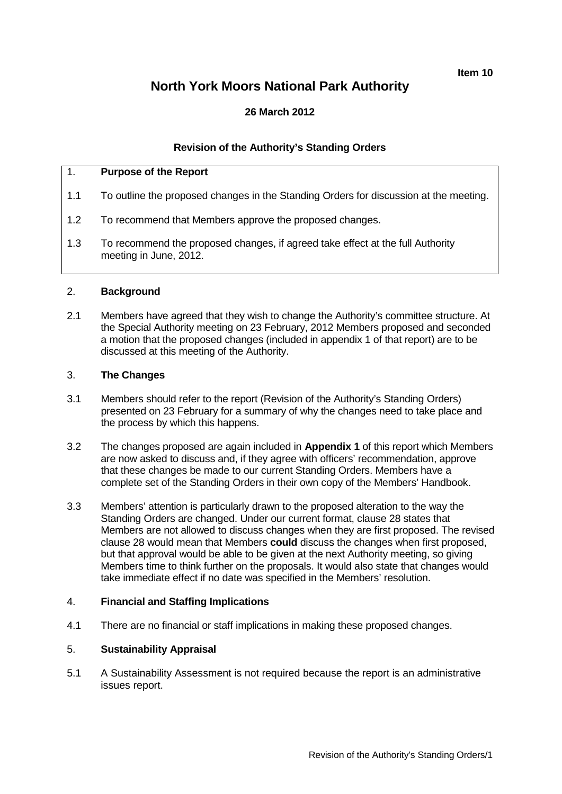**Item 10**

# **North York Moors National Park Authority**

## **26 March 2012**

## **Revision of the Authority's Standing Orders**

## 1. **Purpose of the Report**

- 1.1 To outline the proposed changes in the Standing Orders for discussion at the meeting.
- 1.2 To recommend that Members approve the proposed changes.
- 1.3 To recommend the proposed changes, if agreed take effect at the full Authority meeting in June, 2012.

### 2. **Background**

2.1 Members have agreed that they wish to change the Authority's committee structure. At the Special Authority meeting on 23 February, 2012 Members proposed and seconded a motion that the proposed changes (included in appendix 1 of that report) are to be discussed at this meeting of the Authority.

### 3. **The Changes**

- 3.1 Members should refer to the report (Revision of the Authority's Standing Orders) presented on 23 February for a summary of why the changes need to take place and the process by which this happens.
- 3.2 The changes proposed are again included in **Appendix 1** of this report which Members are now asked to discuss and, if they agree with officers' recommendation, approve that these changes be made to our current Standing Orders. Members have a complete set of the Standing Orders in their own copy of the Members' Handbook.
- 3.3 Members' attention is particularly drawn to the proposed alteration to the way the Standing Orders are changed. Under our current format, clause 28 states that Members are not allowed to discuss changes when they are first proposed. The revised clause 28 would mean that Members **could** discuss the changes when first proposed, but that approval would be able to be given at the next Authority meeting, so giving Members time to think further on the proposals. It would also state that changes would take immediate effect if no date was specified in the Members' resolution.

#### 4. **Financial and Staffing Implications**

4.1 There are no financial or staff implications in making these proposed changes.

#### 5. **Sustainability Appraisal**

5.1 A Sustainability Assessment is not required because the report is an administrative issues report.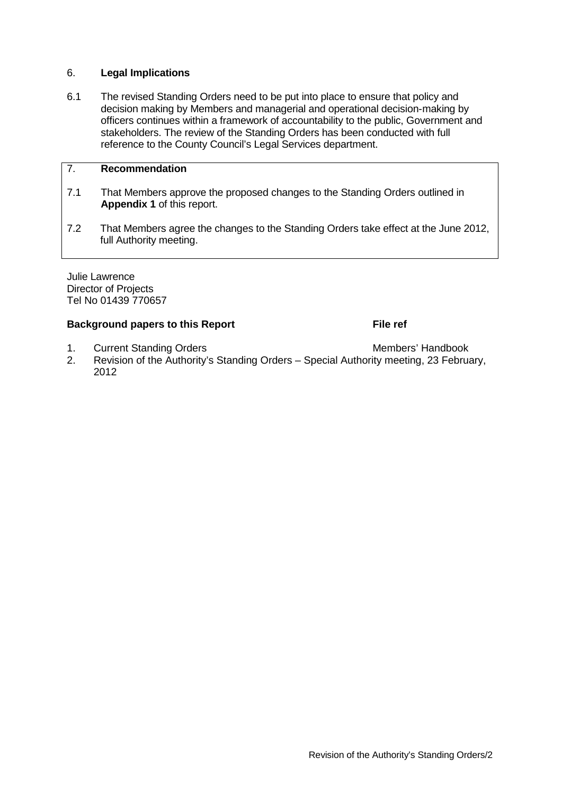## 6. **Legal Implications**

6.1 The revised Standing Orders need to be put into place to ensure that policy and decision making by Members and managerial and operational decision-making by officers continues within a framework of accountability to the public, Government and stakeholders. The review of the Standing Orders has been conducted with full reference to the County Council's Legal Services department.

## 7. **Recommendation**

- 7.1 That Members approve the proposed changes to the Standing Orders outlined in **Appendix 1** of this report.
- 7.2 That Members agree the changes to the Standing Orders take effect at the June 2012, full Authority meeting.

Julie Lawrence Director of Projects Tel No 01439 770657

## **Background papers to this Report File ref**

- 1. Current Standing Orders **Members** Members' Handbook
- 2. Revision of the Authority's Standing Orders Special Authority meeting, 23 February, 2012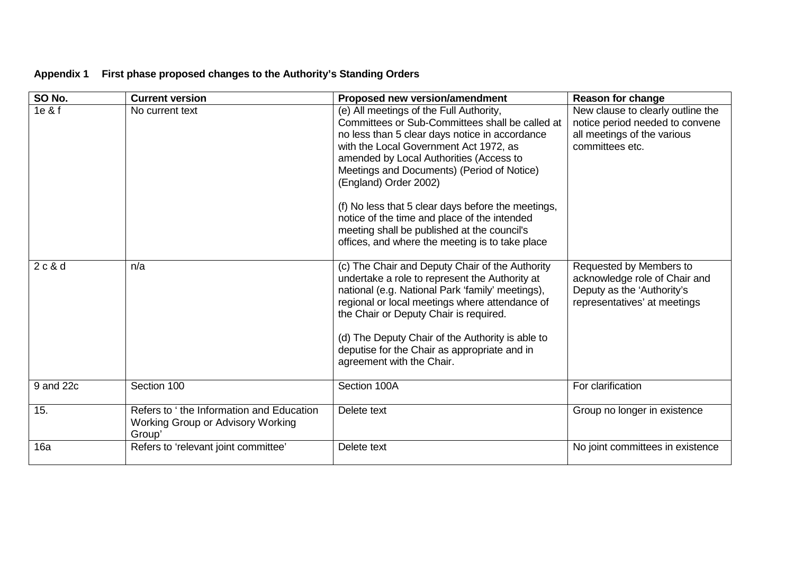# **Appendix 1 First phase proposed changes to the Authority's Standing Orders**

| SO No.    | <b>Current version</b>                                                                  | Proposed new version/amendment                                                                                                                                                                                                                                                                                                                                                     | Reason for change                                                                                                      |
|-----------|-----------------------------------------------------------------------------------------|------------------------------------------------------------------------------------------------------------------------------------------------------------------------------------------------------------------------------------------------------------------------------------------------------------------------------------------------------------------------------------|------------------------------------------------------------------------------------------------------------------------|
| 1e & f    | No current text                                                                         | (e) All meetings of the Full Authority,<br>Committees or Sub-Committees shall be called at<br>no less than 5 clear days notice in accordance<br>with the Local Government Act 1972, as<br>amended by Local Authorities (Access to<br>Meetings and Documents) (Period of Notice)<br>(England) Order 2002)                                                                           | New clause to clearly outline the<br>notice period needed to convene<br>all meetings of the various<br>committees etc. |
|           |                                                                                         | (f) No less that 5 clear days before the meetings,<br>notice of the time and place of the intended<br>meeting shall be published at the council's<br>offices, and where the meeting is to take place                                                                                                                                                                               |                                                                                                                        |
| 2c&d      | n/a                                                                                     | (c) The Chair and Deputy Chair of the Authority<br>undertake a role to represent the Authority at<br>national (e.g. National Park 'family' meetings),<br>regional or local meetings where attendance of<br>the Chair or Deputy Chair is required.<br>(d) The Deputy Chair of the Authority is able to<br>deputise for the Chair as appropriate and in<br>agreement with the Chair. | Requested by Members to<br>acknowledge role of Chair and<br>Deputy as the 'Authority's<br>representatives' at meetings |
|           |                                                                                         |                                                                                                                                                                                                                                                                                                                                                                                    |                                                                                                                        |
| 9 and 22c | Section 100                                                                             | Section 100A                                                                                                                                                                                                                                                                                                                                                                       | For clarification                                                                                                      |
| 15.       | Refers to 'the Information and Education<br>Working Group or Advisory Working<br>Group' | Delete text                                                                                                                                                                                                                                                                                                                                                                        | Group no longer in existence                                                                                           |
| 16a       | Refers to 'relevant joint committee'                                                    | Delete text                                                                                                                                                                                                                                                                                                                                                                        | No joint committees in existence                                                                                       |